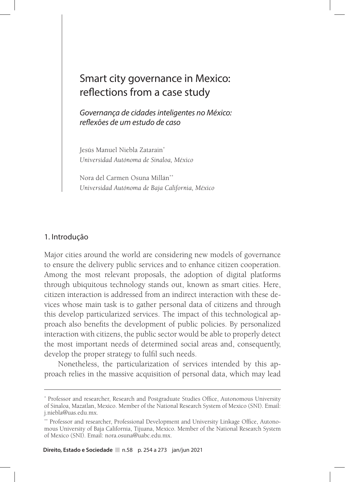# Smart city governance in Mexico: reflections from a case study

*Governança de cidades inteligentes no México: reflexões de um estudo de caso*

Jesús Manuel Niebla Zatarain\* *Universidad Autónoma de Sinaloa, México*

Nora del Carmen Osuna Millán\*\* *Universidad Autónoma de Baja California, México*

#### 1. Introdução

Major cities around the world are considering new models of governance to ensure the delivery public services and to enhance citizen cooperation. Among the most relevant proposals, the adoption of digital platforms through ubiquitous technology stands out, known as smart cities. Here, citizen interaction is addressed from an indirect interaction with these devices whose main task is to gather personal data of citizens and through this develop particularized services. The impact of this technological approach also benefits the development of public policies. By personalized interaction with citizens, the public sector would be able to properly detect the most important needs of determined social areas and, consequently, develop the proper strategy to fulfil such needs.

Nonetheless, the particularization of services intended by this approach relies in the massive acquisition of personal data, which may lead

<sup>\*</sup> Professor and researcher, Research and Postgraduate Studies Office, Autonomous University of Sinaloa, Mazatlan, Mexico. Member of the National Research System of Mexico (SNI). Email: j.niebla@uas.edu.mx.

<sup>\*\*</sup> Professor and researcher, Professional Development and University Linkage Office, Autonomous University of Baja California, Tijuana, Mexico. Member of the National Research System of Mexico (SNI). Email: nora.osuna@uabc.edu.mx.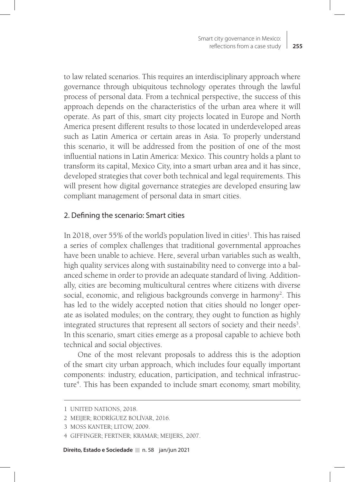to law related scenarios. This requires an interdisciplinary approach where governance through ubiquitous technology operates through the lawful process of personal data. From a technical perspective, the success of this approach depends on the characteristics of the urban area where it will operate. As part of this, smart city projects located in Europe and North America present different results to those located in underdeveloped areas such as Latin America or certain areas in Asia. To properly understand this scenario, it will be addressed from the position of one of the most influential nations in Latin America: Mexico. This country holds a plant to transform its capital, Mexico City, into a smart urban area and it has since, developed strategies that cover both technical and legal requirements. This will present how digital governance strategies are developed ensuring law compliant management of personal data in smart cities.

#### 2. Defining the scenario: Smart cities

In 2018, over 55% of the world's population lived in cities<sup>1</sup>. This has raised a series of complex challenges that traditional governmental approaches have been unable to achieve. Here, several urban variables such as wealth, high quality services along with sustainability need to converge into a balanced scheme in order to provide an adequate standard of living. Additionally, cities are becoming multicultural centres where citizens with diverse social, economic, and religious backgrounds converge in harmony<sup>2</sup>. This has led to the widely accepted notion that cities should no longer operate as isolated modules; on the contrary, they ought to function as highly integrated structures that represent all sectors of society and their needs<sup>3</sup>. In this scenario, smart cities emerge as a proposal capable to achieve both technical and social objectives.

One of the most relevant proposals to address this is the adoption of the smart city urban approach, which includes four equally important components: industry, education, participation, and technical infrastructure<sup>4</sup>. This has been expanded to include smart economy, smart mobility,

<sup>1</sup> UNITED NATIONS, 2018.

<sup>2</sup> MEIJER; RODRÍGUEZ BOLÍVAR, 2016.

<sup>3</sup> MOSS KANTER; LITOW, 2009.

<sup>4</sup> GIFFINGER; FERTNER; KRAMAR; MEIJERS, 2007.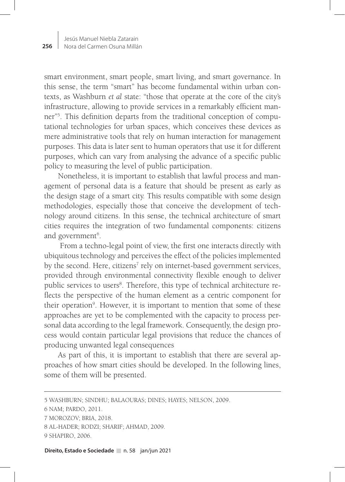smart environment, smart people, smart living, and smart governance. In this sense, the term "smart" has become fundamental within urban contexts, as Washburn *et al* state: "those that operate at the core of the city's infrastructure, allowing to provide services in a remarkably efficient manner"5 . This definition departs from the traditional conception of computational technologies for urban spaces, which conceives these devices as mere administrative tools that rely on human interaction for management purposes. This data is later sent to human operators that use it for different purposes, which can vary from analysing the advance of a specific public policy to measuring the level of public participation.

Nonetheless, it is important to establish that lawful process and management of personal data is a feature that should be present as early as the design stage of a smart city. This results compatible with some design methodologies, especially those that conceive the development of technology around citizens. In this sense, the technical architecture of smart cities requires the integration of two fundamental components: citizens and government<sup>6</sup>.

 From a techno-legal point of view, the first one interacts directly with ubiquitous technology and perceives the effect of the policies implemented by the second. Here, citizens<sup>7</sup> rely on internet-based government services, provided through environmental connectivity flexible enough to deliver public services to users<sup>8</sup>. Therefore, this type of technical architecture reflects the perspective of the human element as a centric component for their operation<sup>9</sup>. However, it is important to mention that some of these approaches are yet to be complemented with the capacity to process personal data according to the legal framework. Consequently, the design process would contain particular legal provisions that reduce the chances of producing unwanted legal consequences

As part of this, it is important to establish that there are several approaches of how smart cities should be developed. In the following lines, some of them will be presented.

<sup>5</sup> WASHBURN; SINDHU; BALAOURAS; DINES; HAYES; NELSON, 2009.

<sup>6</sup> NAM; PARDO, 2011.

<sup>7</sup> MOROZOV; BRIA, 2018.

<sup>8</sup> AL-HADER; RODZI; SHARIF; AHMAD, 2009.

<sup>9</sup> SHAPIRO, 2006.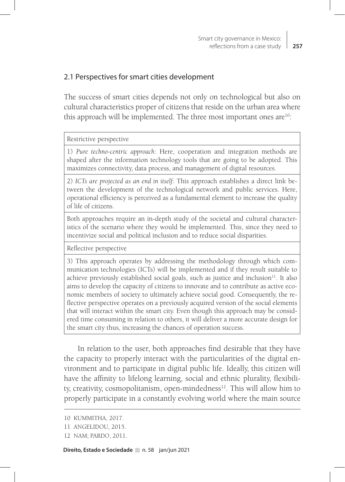### 2.1 Perspectives for smart cities development

The success of smart cities depends not only on technological but also on cultural characteristics proper of citizens that reside on the urban area where this approach will be implemented. The three most important ones are<sup>10</sup>:

#### Restrictive perspective

1) *Pure techno-centric approach*: Here, cooperation and integration methods are shaped after the information technology tools that are going to be adopted. This maximizes connectivity, data process, and management of digital resources.

2) *ICTs are projected as an end in itself*: This approach establishes a direct link between the development of the technological network and public services. Here, operational efficiency is perceived as a fundamental element to increase the quality of life of citizens.

Both approaches require an in-depth study of the societal and cultural characteristics of the scenario where they would be implemented. This, since they need to incentivize social and political inclusion and to reduce social disparities.

Reflective perspective

3) This approach operates by addressing the methodology through which communication technologies (ICTs) will be implemented and if they result suitable to achieve previously established social goals, such as justice and inclusion $11$ . It also aims to develop the capacity of citizens to innovate and to contribute as active economic members of society to ultimately achieve social good. Consequently, the reflective perspective operates on a previously acquired version of the social elements that will interact within the smart city. Even though this approach may be considered time consuming in relation to others, it will deliver a more accurate design for the smart city thus, increasing the chances of operation success.

In relation to the user, both approaches find desirable that they have the capacity to properly interact with the particularities of the digital environment and to participate in digital public life. Ideally, this citizen will have the affinity to lifelong learning, social and ethnic plurality, flexibility, creativity, cosmopolitanism, open-mindedness $12$ . This will allow him to properly participate in a constantly evolving world where the main source

<sup>10</sup> KUMMITHA, 2017.

<sup>11</sup> ANGELIDOU, 2015.

<sup>12</sup> NAM; PARDO, 2011.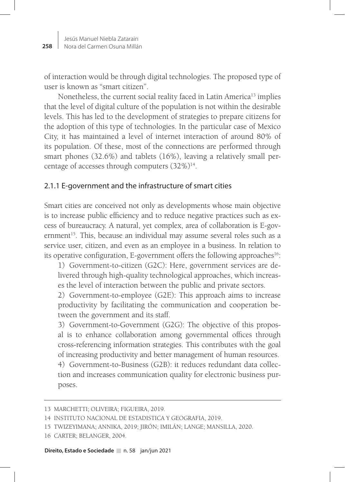of interaction would be through digital technologies. The proposed type of user is known as "smart citizen".

Nonetheless, the current social reality faced in Latin America<sup>13</sup> implies that the level of digital culture of the population is not within the desirable levels. This has led to the development of strategies to prepare citizens for the adoption of this type of technologies. In the particular case of Mexico City, it has maintained a level of internet interaction of around 80% of its population. Of these, most of the connections are performed through smart phones (32.6%) and tablets (16%), leaving a relatively small percentage of accesses through computers  $(32\%)^{14}$ .

### 2.1.1 E-government and the infrastructure of smart cities

Smart cities are conceived not only as developments whose main objective is to increase public efficiency and to reduce negative practices such as excess of bureaucracy. A natural, yet complex, area of collaboration is E-government<sup>15</sup>. This, because an individual may assume several roles such as a service user, citizen, and even as an employee in a business. In relation to its operative configuration, E-government offers the following approaches<sup>16</sup>:

1) Government-to-citizen (G2C): Here, government services are delivered through high-quality technological approaches, which increases the level of interaction between the public and private sectors.

2) Government-to-employee (G2E): This approach aims to increase productivity by facilitating the communication and cooperation between the government and its staff.

3) Government-to-Government (G2G): The objective of this proposal is to enhance collaboration among governmental offices through cross-referencing information strategies. This contributes with the goal of increasing productivity and better management of human resources.

4) Government-to-Business (G2B): it reduces redundant data collection and increases communication quality for electronic business purposes.

<sup>13</sup> MARCHETTI; OLIVEIRA; FIGUEIRA, 2019.

<sup>14</sup> INSTITUTO NACIONAL DE ESTADISTICA Y GEOGRAFIA, 2019.

<sup>15</sup> TWIZEYIMANA; ANNIKA, 2019; JIRÓN; IMILÁN; LANGE; MANSILLA, 2020.

<sup>16</sup> CARTER; BELANGER, 2004.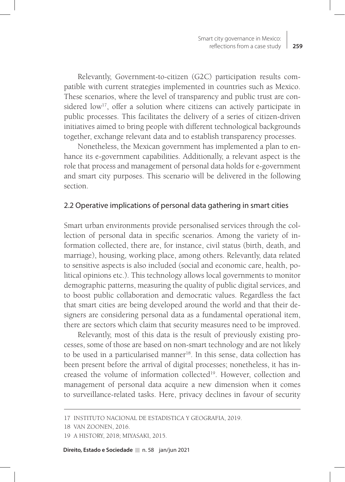Relevantly, Government-to-citizen (G2C) participation results compatible with current strategies implemented in countries such as Mexico. These scenarios, where the level of transparency and public trust are considered low<sup>17</sup>, offer a solution where citizens can actively participate in public processes. This facilitates the delivery of a series of citizen-driven initiatives aimed to bring people with different technological backgrounds together, exchange relevant data and to establish transparency processes.

Nonetheless, the Mexican government has implemented a plan to enhance its e-government capabilities. Additionally, a relevant aspect is the role that process and management of personal data holds for e-government and smart city purposes. This scenario will be delivered in the following section.

#### 2.2 Operative implications of personal data gathering in smart cities

Smart urban environments provide personalised services through the collection of personal data in specific scenarios. Among the variety of information collected, there are, for instance, civil status (birth, death, and marriage), housing, working place, among others. Relevantly, data related to sensitive aspects is also included (social and economic care, health, political opinions etc.). This technology allows local governments to monitor demographic patterns, measuring the quality of public digital services, and to boost public collaboration and democratic values. Regardless the fact that smart cities are being developed around the world and that their designers are considering personal data as a fundamental operational item, there are sectors which claim that security measures need to be improved.

Relevantly, most of this data is the result of previously existing processes, some of those are based on non-smart technology and are not likely to be used in a particularised manner<sup>18</sup>. In this sense, data collection has been present before the arrival of digital processes; nonetheless, it has increased the volume of information collected<sup>19</sup>. However, collection and management of personal data acquire a new dimension when it comes to surveillance-related tasks. Here, privacy declines in favour of security

<sup>17</sup> INSTITUTO NACIONAL DE ESTADISTICA Y GEOGRAFIA, 2019.

<sup>18</sup> VAN ZOONEN, 2016.

<sup>19</sup> A HISTORY, 2018; MIYASAKI, 2015.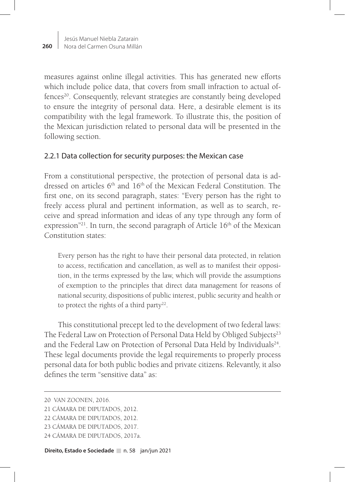measures against online illegal activities. This has generated new efforts which include police data, that covers from small infraction to actual offences<sup>20</sup>. Consequently, relevant strategies are constantly being developed to ensure the integrity of personal data. Here, a desirable element is its compatibility with the legal framework. To illustrate this, the position of the Mexican jurisdiction related to personal data will be presented in the following section.

# 2.2.1 Data collection for security purposes: the Mexican case

From a constitutional perspective, the protection of personal data is addressed on articles  $6<sup>th</sup>$  and  $16<sup>th</sup>$  of the Mexican Federal Constitution. The first one, on its second paragraph, states: "Every person has the right to freely access plural and pertinent information, as well as to search, receive and spread information and ideas of any type through any form of expression"<sup>21</sup>. In turn, the second paragraph of Article  $16<sup>th</sup>$  of the Mexican Constitution states:

Every person has the right to have their personal data protected, in relation to access, rectification and cancellation, as well as to manifest their opposition, in the terms expressed by the law, which will provide the assumptions of exemption to the principles that direct data management for reasons of national security, dispositions of public interest, public security and health or to protect the rights of a third party<sup>22</sup>.

This constitutional precept led to the development of two federal laws: The Federal Law on Protection of Personal Data Held by Obliged Subjects<sup>23</sup> and the Federal Law on Protection of Personal Data Held by Individuals<sup>24</sup>. These legal documents provide the legal requirements to properly process personal data for both public bodies and private citizens. Relevantly, it also defines the term "sensitive data" as:

<sup>20</sup> VAN ZOONEN, 2016.

<sup>21</sup> CÁMARA DE DIPUTADOS, 2012.

<sup>22</sup> CÁMARA DE DIPUTADOS, 2012.

<sup>23</sup> CÁMARA DE DIPUTADOS, 2017.

<sup>24</sup> CÁMARA DE DIPUTADOS, 2017a.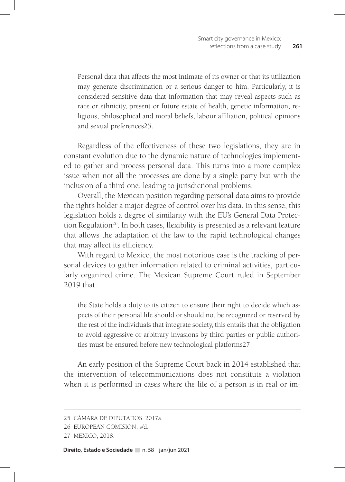Personal data that affects the most intimate of its owner or that its utilization may generate discrimination or a serious danger to him. Particularly, it is considered sensitive data that information that may reveal aspects such as race or ethnicity, present or future estate of health, genetic information, religious, philosophical and moral beliefs, labour affiliation, political opinions and sexual preferences25.

Regardless of the effectiveness of these two legislations, they are in constant evolution due to the dynamic nature of technologies implemented to gather and process personal data. This turns into a more complex issue when not all the processes are done by a single party but with the inclusion of a third one, leading to jurisdictional problems.

Overall, the Mexican position regarding personal data aims to provide the right's holder a major degree of control over his data. In this sense, this legislation holds a degree of similarity with the EU's General Data Protection Regulation<sup>26</sup>. In both cases, flexibility is presented as a relevant feature that allows the adaptation of the law to the rapid technological changes that may affect its efficiency.

With regard to Mexico, the most notorious case is the tracking of personal devices to gather information related to criminal activities, particularly organized crime. The Mexican Supreme Court ruled in September 2019 that:

the State holds a duty to its citizen to ensure their right to decide which aspects of their personal life should or should not be recognized or reserved by the rest of the individuals that integrate society, this entails that the obligation to avoid aggressive or arbitrary invasions by third parties or public authorities must be ensured before new technological platforms27.

An early position of the Supreme Court back in 2014 established that the intervention of telecommunications does not constitute a violation when it is performed in cases where the life of a person is in real or im-

<sup>25</sup> CÁMARA DE DIPUTADOS, 2017a.

<sup>26</sup> EUROPEAN COMISION, s/d.

<sup>27</sup> MEXICO, 2018.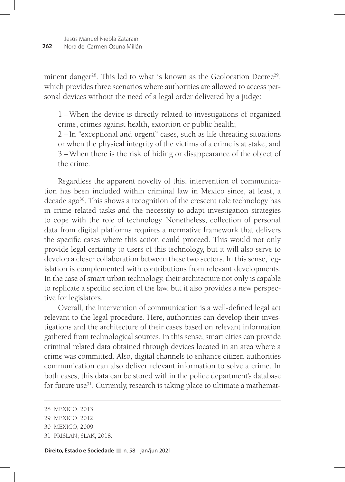minent danger<sup>28</sup>. This led to what is known as the Geolocation Decree<sup>29</sup>, which provides three scenarios where authorities are allowed to access personal devices without the need of a legal order delivered by a judge:

1 –When the device is directly related to investigations of organized crime, crimes against health, extortion or public health;

2 – In "exceptional and urgent" cases, such as life threating situations or when the physical integrity of the victims of a crime is at stake; and 3 –When there is the risk of hiding or disappearance of the object of the crime.

Regardless the apparent novelty of this, intervention of communication has been included within criminal law in Mexico since, at least, a decade ago<sup>30</sup>. This shows a recognition of the crescent role technology has in crime related tasks and the necessity to adapt investigation strategies to cope with the role of technology. Nonetheless, collection of personal data from digital platforms requires a normative framework that delivers the specific cases where this action could proceed. This would not only provide legal certainty to users of this technology, but it will also serve to develop a closer collaboration between these two sectors. In this sense, legislation is complemented with contributions from relevant developments. In the case of smart urban technology, their architecture not only is capable to replicate a specific section of the law, but it also provides a new perspective for legislators.

Overall, the intervention of communication is a well-defined legal act relevant to the legal procedure. Here, authorities can develop their investigations and the architecture of their cases based on relevant information gathered from technological sources. In this sense, smart cities can provide criminal related data obtained through devices located in an area where a crime was committed. Also, digital channels to enhance citizen-authorities communication can also deliver relevant information to solve a crime. In both cases, this data can be stored within the police department's database for future use<sup>31</sup>. Currently, research is taking place to ultimate a mathemat-

<sup>28</sup> MEXICO, 2013.

<sup>29</sup> MEXICO, 2012.

<sup>30</sup> MEXICO, 2009.

<sup>31</sup> PRISLAN; SLAK, 2018.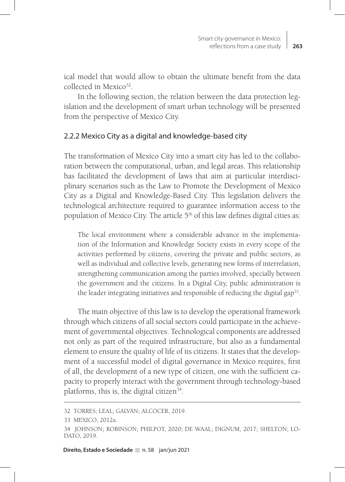ical model that would allow to obtain the ultimate benefit from the data collected in Mexico<sup>32</sup>

In the following section, the relation between the data protection legislation and the development of smart urban technology will be presented from the perspective of Mexico City.

#### 2.2.2 Mexico City as a digital and knowledge-based city

The transformation of Mexico City into a smart city has led to the collaboration between the computational, urban, and legal areas. This relationship has facilitated the development of laws that aim at particular interdisciplinary scenarios such as the Law to Promote the Development of Mexico City as a Digital and Knowledge-Based City. This legislation delivers the technological architecture required to guarantee information access to the population of Mexico City. The article 5<sup>th</sup> of this law defines digital cities as:

The local environment where a considerable advance in the implementation of the Information and Knowledge Society exists in every scope of the activities performed by citizens, covering the private and public sectors, as well as individual and collective levels, generating new forms of interrelation, strengthening communication among the parties involved, specially between the government and the citizens. In a Digital City, public administration is the leader integrating initiatives and responsible of reducing the digital gap<sup>33</sup>.

The main objective of this law is to develop the operational framework through which citizens of all social sectors could participate in the achievement of governmental objectives. Technological components are addressed not only as part of the required infrastructure, but also as a fundamental element to ensure the quality of life of its citizens. It states that the development of a successful model of digital governance in Mexico requires, first of all, the development of a new type of citizen, one with the sufficient capacity to properly interact with the government through technology-based platforms, this is, the digital citizen<sup>34</sup>.

<sup>32</sup> TORRES; LEAL; GALVÁN; ALCOCER, 2019.

<sup>33</sup> MEXICO, 2012a.

<sup>34</sup> JOHNSON; ROBINSON; PHILPOT, 2020; DE WAAL; DIGNUM, 2017; SHELTON; LO-DATO, 2019.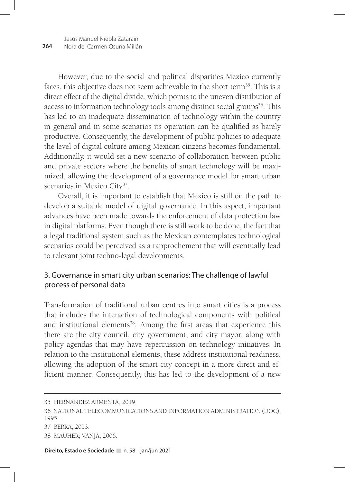However, due to the social and political disparities Mexico currently faces, this objective does not seem achievable in the short term<sup>35</sup>. This is a direct effect of the digital divide, which points to the uneven distribution of access to information technology tools among distinct social groups<sup>36</sup>. This has led to an inadequate dissemination of technology within the country in general and in some scenarios its operation can be qualified as barely productive. Consequently, the development of public policies to adequate the level of digital culture among Mexican citizens becomes fundamental. Additionally, it would set a new scenario of collaboration between public and private sectors where the benefits of smart technology will be maximized, allowing the development of a governance model for smart urban scenarios in Mexico City<sup>37</sup>.

Overall, it is important to establish that Mexico is still on the path to develop a suitable model of digital governance. In this aspect, important advances have been made towards the enforcement of data protection law in digital platforms. Even though there is still work to be done, the fact that a legal traditional system such as the Mexican contemplates technological scenarios could be perceived as a rapprochement that will eventually lead to relevant joint techno-legal developments.

# 3. Governance in smart city urban scenarios: The challenge of lawful process of personal data

Transformation of traditional urban centres into smart cities is a process that includes the interaction of technological components with political and institutional elements<sup>38</sup>. Among the first areas that experience this there are the city council, city government, and city mayor, along with policy agendas that may have repercussion on technology initiatives. In relation to the institutional elements, these address institutional readiness, allowing the adoption of the smart city concept in a more direct and efficient manner. Consequently, this has led to the development of a new

- 36 NATIONAL TELECOMMUNICATIONS AND INFORMATION ADMINISTRATION (DOC), 1995. 37 BERRA, 2013.
- 
- 38 MAUHER; VANJA, 2006.

<sup>35</sup> HERNÁNDEZ ARMENTA, 2019.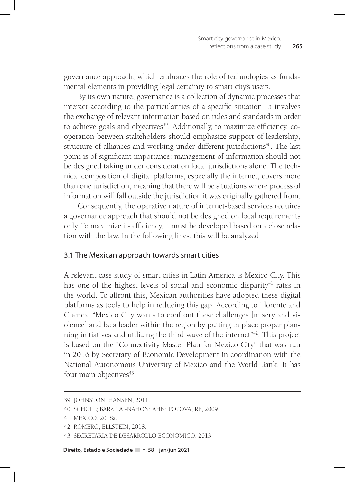governance approach, which embraces the role of technologies as fundamental elements in providing legal certainty to smart city's users.

By its own nature, governance is a collection of dynamic processes that interact according to the particularities of a specific situation. It involves the exchange of relevant information based on rules and standards in order to achieve goals and objectives<sup>39</sup>. Additionally, to maximize efficiency, cooperation between stakeholders should emphasize support of leadership, structure of alliances and working under different jurisdictions<sup>40</sup>. The last point is of significant importance: management of information should not be designed taking under consideration local jurisdictions alone. The technical composition of digital platforms, especially the internet, covers more than one jurisdiction, meaning that there will be situations where process of information will fall outside the jurisdiction it was originally gathered from.

Consequently, the operative nature of internet-based services requires a governance approach that should not be designed on local requirements only. To maximize its efficiency, it must be developed based on a close relation with the law. In the following lines, this will be analyzed.

#### 3.1 The Mexican approach towards smart cities

A relevant case study of smart cities in Latin America is Mexico City. This has one of the highest levels of social and economic disparity<sup>41</sup> rates in the world. To affront this, Mexican authorities have adopted these digital platforms as tools to help in reducing this gap. According to Llorente and Cuenca, "Mexico City wants to confront these challenges [misery and violence] and be a leader within the region by putting in place proper planning initiatives and utilizing the third wave of the internet"<sup>42</sup>. This project is based on the "Connectivity Master Plan for Mexico City" that was run in 2016 by Secretary of Economic Development in coordination with the National Autonomous University of Mexico and the World Bank. It has four main objectives<sup>43</sup>:

<sup>39</sup> JOHNSTON; HANSEN, 2011.

<sup>40</sup> SCHOLL; BARZILAI-NAHON; AHN; POPOVA; RE, 2009.

<sup>41</sup> MEXICO, 2018a.

<sup>42</sup> ROMERO; ELLSTEIN, 2018.

<sup>43</sup> SECRETARIA DE DESARROLLO ECONÓMICO, 2013.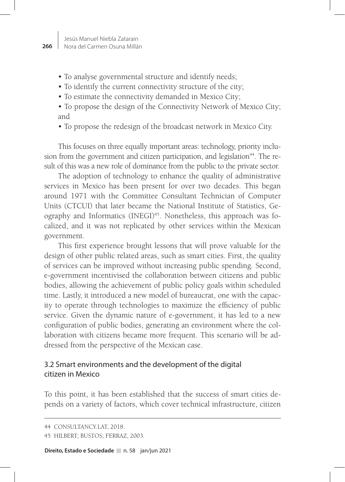- To analyse governmental structure and identify needs;
- To identify the current connectivity structure of the city;
- To estimate the connectivity demanded in Mexico City;
- To propose the design of the Connectivity Network of Mexico City; and
- To propose the redesign of the broadcast network in Mexico City.

This focuses on three equally important areas: technology, priority inclusion from the government and citizen participation, and legislation<sup>44</sup>. The result of this was a new role of dominance from the public to the private sector.

The adoption of technology to enhance the quality of administrative services in Mexico has been present for over two decades. This began around 1971 with the Committee Consultant Technician of Computer Units (CTCUI) that later became the National Institute of Statistics, Geography and Informatics (INEGI)<sup>45</sup>. Nonetheless, this approach was focalized, and it was not replicated by other services within the Mexican government.

This first experience brought lessons that will prove valuable for the design of other public related areas, such as smart cities. First, the quality of services can be improved without increasing public spending. Second, e-government incentivised the collaboration between citizens and public bodies, allowing the achievement of public policy goals within scheduled time. Lastly, it introduced a new model of bureaucrat, one with the capacity to operate through technologies to maximize the efficiency of public service. Given the dynamic nature of e-government, it has led to a new configuration of public bodies, generating an environment where the collaboration with citizens became more frequent. This scenario will be addressed from the perspective of the Mexican case.

# 3.2 Smart environments and the development of the digital citizen in Mexico

To this point, it has been established that the success of smart cities depends on a variety of factors, which cover technical infrastructure, citizen

<sup>44</sup> CONSULTANCY.LAT, 2018.

<sup>45</sup> HILBERT; BUSTOS; FERRAZ, 2003.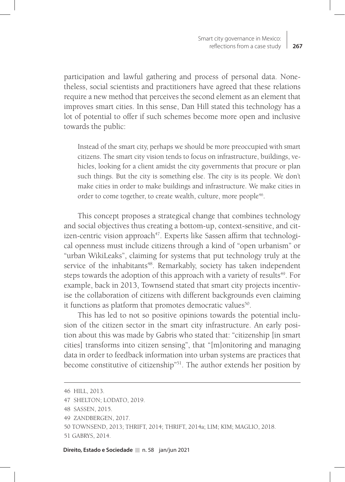participation and lawful gathering and process of personal data. Nonetheless, social scientists and practitioners have agreed that these relations require a new method that perceives the second element as an element that improves smart cities. In this sense, Dan Hill stated this technology has a lot of potential to offer if such schemes become more open and inclusive towards the public:

Instead of the smart city, perhaps we should be more preoccupied with smart citizens. The smart city vision tends to focus on infrastructure, buildings, vehicles, looking for a client amidst the city governments that procure or plan such things. But the city is something else. The city is its people. We don't make cities in order to make buildings and infrastructure. We make cities in order to come together, to create wealth, culture, more people<sup>46</sup>.

This concept proposes a strategical change that combines technology and social objectives thus creating a bottom-up, context-sensitive, and citizen-centric vision approach<sup>47</sup>. Experts like Sassen affirm that technological openness must include citizens through a kind of "open urbanism" or "urban WikiLeaks", claiming for systems that put technology truly at the service of the inhabitants<sup>48</sup>. Remarkably, society has taken independent steps towards the adoption of this approach with a variety of results<sup>49</sup>. For example, back in 2013, Townsend stated that smart city projects incentivise the collaboration of citizens with different backgrounds even claiming it functions as platform that promotes democratic values<sup>50</sup>.

This has led to not so positive opinions towards the potential inclusion of the citizen sector in the smart city infrastructure. An early position about this was made by Gabris who stated that: "citizenship [in smart cities] transforms into citizen sensing", that "[m]onitoring and managing data in order to feedback information into urban systems are practices that become constitutive of citizenship<sup>"51</sup>. The author extends her position by

<sup>46</sup> HILL, 2013.

<sup>47</sup> SHELTON; LODATO, 2019.

<sup>48</sup> SASSEN, 2015.

<sup>49</sup> ZANDBERGEN, 2017.

<sup>50</sup> TOWNSEND, 2013; THRIFT, 2014; THRIFT, 2014a; LIM; KIM; MAGLIO, 2018.

<sup>51</sup> GABRYS, 2014.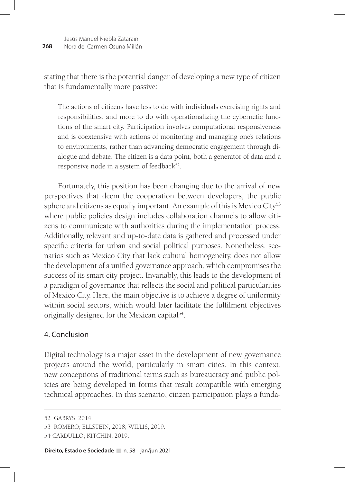stating that there is the potential danger of developing a new type of citizen that is fundamentally more passive:

The actions of citizens have less to do with individuals exercising rights and responsibilities, and more to do with operationalizing the cybernetic functions of the smart city. Participation involves computational responsiveness and is coextensive with actions of monitoring and managing one's relations to environments, rather than advancing democratic engagement through dialogue and debate. The citizen is a data point, both a generator of data and a responsive node in a system of feedback $52$ .

Fortunately, this position has been changing due to the arrival of new perspectives that deem the cooperation between developers, the public sphere and citizens as equally important. An example of this is Mexico City<sup>53</sup> where public policies design includes collaboration channels to allow citizens to communicate with authorities during the implementation process. Additionally, relevant and up-to-date data is gathered and processed under specific criteria for urban and social political purposes. Nonetheless, scenarios such as Mexico City that lack cultural homogeneity, does not allow the development of a unified governance approach, which compromises the success of its smart city project. Invariably, this leads to the development of a paradigm of governance that reflects the social and political particularities of Mexico City. Here, the main objective is to achieve a degree of uniformity within social sectors, which would later facilitate the fulfilment objectives originally designed for the Mexican capital<sup>54</sup>.

# 4. Conclusion

Digital technology is a major asset in the development of new governance projects around the world, particularly in smart cities. In this context, new conceptions of traditional terms such as bureaucracy and public policies are being developed in forms that result compatible with emerging technical approaches. In this scenario, citizen participation plays a funda-

<sup>52</sup> GABRYS, 2014.

<sup>53</sup> ROMERO; ELLSTEIN, 2018; WILLIS, 2019.

<sup>54</sup> CARDULLO; KITCHIN, 2019.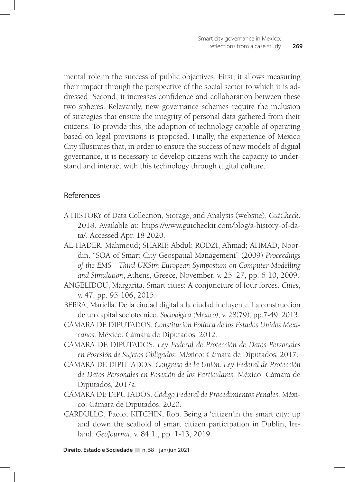mental role in the success of public objectives. First, it allows measuring their impact through the perspective of the social sector to which it is addressed. Second, it increases confidence and collaboration between these two spheres. Relevantly, new governance schemes require the inclusion of strategies that ensure the integrity of personal data gathered from their citizens. To provide this, the adoption of technology capable of operating based on legal provisions is proposed. Finally, the experience of Mexico City illustrates that, in order to ensure the success of new models of digital governance, it is necessary to develop citizens with the capacity to understand and interact with this technology through digital culture.

# References

- A HISTORY of Data Collection, Storage, and Analysis (website). *GutCheck*. 2018. Available at: https://www.gutcheckit.com/blog/a-history-of-data/. Accessed Apr. 18 2020.
- AL-HADER, Mahmoud; SHARIF, Abdul; RODZI, Ahmad; AHMAD, Noordin. "SOA of Smart City Geospatial Management" (2009) *Proceedings of the EMS - Third UKSim European Symposium on Computer Modelling and Simulation*, Athens, Greece, November, v. 25–27, pp. 6-10, 2009.
- ANGELIDOU, Margarita. Smart cities: A conjuncture of four forces. *Cities*, v. 47, pp. 95-106, 2015.
- BERRA, Mariella. De la ciudad digital a la ciudad incluyente: La construcción de un capital sociotécnico. *Sociológica (México)*, v. 28(79), pp.7-49, 2013.
- CÁMARA DE DIPUTADOS. *Constitución Política de los Estados Unidos Mexicanos*. México*:* Cámara de Diputados*,* 2012.
- CÁMARA DE DIPUTADOS. *Ley Federal de Protección de Datos Personales en Posesión de Sujetos Obligados*. México: Cámara de Diputados*,* 2017.
- CÁMARA DE DIPUTADOS. *Congreso de la Unión. Ley Federal de Protección de Datos Personales en Posesión de los Particulares*. México: Cámara de Diputados*,* 2017a.
- CÁMARA DE DIPUTADOS. *Código Federal de Procedimientos Penales*. México: Cámara de Diputados, 2020.
- CARDULLO, Paolo; KITCHIN, Rob. Being a 'citizen'in the smart city: up and down the scaffold of smart citizen participation in Dublin, Ireland. *GeoJournal,* v. 84.1., pp. 1-13, 2019.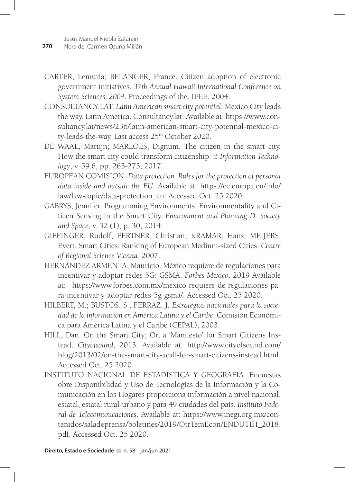- CARTER, Lemuria; BELANGER, France. Citizen adoption of electronic government initiatives. *37th Annual Hawaii International Conference on System Sciences, 2004*. Proceedings of the. IEEE, 2004.
- CONSULTANCY.LAT. *Latin American smart city potential*: Mexico City leads the way. Latin America. Consultancy.lat. Available at: https://www.consultancy.lat/news/236/latin-american-smart-city-potential-mexico-city-leads-the-way. Last access 25<sup>th</sup> October 2020.
- DE WAAL, Martijn; MARLOES, Dignum. The citizen in the smart city. How the smart city could transform citizenship. *it-Information Technology*, v. 59.6, pp. 263-273, 2017.
- EUROPEAN COMISION. *Data protection. Rules for the protection of personal data inside and outside the EU*. Available at: https://ec.europa.eu/info/ law/law-topic/data-protection\_en. Accessed Oct. 25 2020.
- GABRYS, Jennifer. Programming Environments: Environmentality and Citizen Sensing in the Smart City. *Environment and Planning D: Society and Space*, v. 32 (1), p. 30, 2014.
- GIFFINGER, Rudolf; FERTNER, Christian; KRAMAR, Hans; MEIJERS, Evert. Smart Cities: Ranking of European Medium-sized Cities. *Centre of Regional Science Vienna*, 2007.
- HERNÁNDEZ ARMENTA, Mauricio. México requiere de regulaciones para incentivar y adoptar redes 5G: GSMA. *Forbes Mexico*. 2019 Available at: https://www.forbes.com.mx/mexico-requiere-de-regulaciones-para-incentivar-y-adoptar-redes-5g-gsma/. Accessed Oct. 25 2020.
- HILBERT, M.; BUSTOS, S.; FERRAZ, J. *Estrategias nacionales para la sociedad de la información en América Latina y el Caribe*. Comisión Económica para América Latina y el Caribe (CEPAL), 2003.
- HILL, Dan. On the Smart City; Or, a 'Manifesto' for Smart Citizens Instead. *Cityofsound*, 2013. Available at: http://www.cityofsound.com/ blog/2013/02/on-the-smart-city-acall-for-smart-citizens-instead.html. Accessed Oct. 25 2020.
- INSTITUTO NACIONAL DE ESTADISTICA Y GEOGRAFIA. Encuestas obre Disponibilidad y Uso de Tecnologías de la Información y la Comunicación en los Hogares proporciona información a nivel nacional, estatal, estatal rural-urbano y para 49 ciudades del país. *Instituto Federal de Telecomunicaciones*. Available at: https://www.inegi.org.mx/contenidos/saladeprensa/boletines/2019/OtrTemEcon/ENDUTIH\_2018. pdf. Accessed Oct. 25 2020.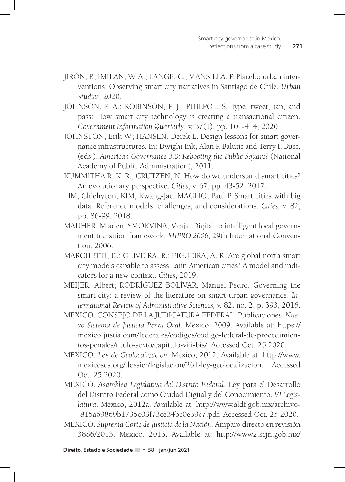- JIRÓN, P.; IMILÁN, W. A.; LANGE, C.; MANSILLA, P. Placebo urban interventions: Observing smart city narratives in Santiago de Chile. *Urban Studies*, 2020.
- JOHNSON, P. A.; ROBINSON, P. J.; PHILPOT, S. Type, tweet, tap, and pass: How smart city technology is creating a transactional citizen. *Government Information Quarterly*, v. 37(1), pp. 101-414, 2020.
- JOHNSTON, Erik W.; HANSEN, Derek L. Design lessons for smart governance infrastructures. In: Dwight Ink, Alan P. Balutis and Terry F. Buss, (eds.), *American Governance 3.0: Rebooting the Public Square?* (National Academy of Public Administration), 2011.
- KUMMITHA R. K. R.; CRUTZEN, N. How do we understand smart cities? An evolutionary perspective. *Cities*, v. 67, pp. 43-52, 2017.
- LIM, Chiehyeon; KIM, Kwang-Jae; MAGLIO, Paul P. Smart cities with big data: Reference models, challenges, and considerations. *Cities,* v. 82, pp. 86-99, 2018.
- MAUHER, Mladen; SMOKVINA, Vanja. Digital to intelligent local government transition framework. *MIPRO 2006,* 29th International Convention, 2006.
- MARCHETTI, D.; OLIVEIRA, R.; FIGUEIRA, A. R. Are global north smart city models capable to assess Latin American cities? A model and indicators for a new context. *Cities*, 2019.
- MEIJER, Albert; RODRÍGUEZ BOLÍVAR, Manuel Pedro. Governing the smart city: a review of the literature on smart urban governance. *International Review of Administrative Sciences,* v. 82, no. 2, p. 393, 2016.
- MEXICO. CONSEJO DE LA JUDICATURA FEDERAL. Publicaciones. *Nuevo Sistema de Justicia Penal Oral*. Mexico, 2009. Available at: https:// mexico.justia.com/federales/codigos/codigo-federal-de-procedimientos-penales/titulo-sexto/capitulo-viii-bis/. Accessed Oct. 25 2020.
- MEXICO. *Ley de Geolocalización.* Mexico, 2012. Available at: http://www. mexicosos.org/dossier/legislacion/261-ley-geolocalizacion. Accessed Oct. 25 2020.
- MEXICO. *Asamblea Legislativa del Distrito Federal*. Ley para el Desarrollo del Distrito Federal como Ciudad Digital y del Conocimiento. *VI Legislatura*. Mexico, 2012a. Available at: http://www.aldf.gob.mx/archivo- -815a69869b1735c03f73ce34bc0e39c7.pdf. Accessed Oct. 25 2020.
- MEXICO. *Suprema Corte de Justicia de la Nación*. Amparo directo en revisión 3886/2013. Mexico, 2013. Available at: http://www2.scjn.gob.mx/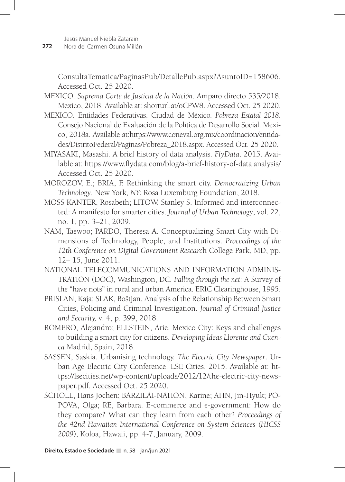ConsultaTematica/PaginasPub/DetallePub.aspx?AsuntoID=158606. Accessed Oct. 25 2020.

- MEXICO. *Suprema Corte de Justicia de la Nación*. Amparo directo 535/2018. Mexico, 2018. Available at: shorturl.at/oCPW8. Accessed Oct. 25 2020.
- MEXICO. Entidades Federativas. Ciudad de México*. Pobreza Estatal 2018*. Consejo Nacional de Evaluación de la Política de Desarrollo Social. Mexico, 2018a. Available at:https://www.coneval.org.mx/coordinacion/entidades/DistritoFederal/Paginas/Pobreza\_2018.aspx. Accessed Oct. 25 2020.
- MIYASAKI, Masashi. A brief history of data analysis. *FlyData*. 2015. Available at: https://www.flydata.com/blog/a-brief-history-of-data analysis/ Accessed Oct. 25 2020.
- MOROZOV, E.; BRIA, F. Rethinking the smart city. *Democratizing Urban Technology*. New York*, NY:* Rosa Luxemburg Foundation, 2018.
- MOSS KANTER, Rosabeth; LITOW, Stanley S. Informed and interconnected: A manifesto for smarter cities. *Journal of Urban Technology*, vol. 22, no. 1, pp. 3–21, 2009.
- NAM, Taewoo; PARDO, Theresa A. Conceptualizing Smart City with Dimensions of Technology, People, and Institutions. *Proceedings of the 12th Conference on Digital Government Researc*h College Park, MD, pp. 12– 15, June 2011.
- NATIONAL TELECOMMUNICATIONS AND INFORMATION ADMINIS-TRATION (DOC), Washington, DC. *Falling through the net*: A Survey of the "have nots" in rural and urban America. ERIC Clearinghouse, 1995.
- PRISLAN, Kaja; SLAK, Boštjan. Analysis of the Relationship Between Smart Cities, Policing and Criminal Investigation. *Journal of Criminal Justice and Security,* v*.* 4, p. 399, 2018.
- ROMERO, Alejandro; ELLSTEIN, Arie. Mexico City: Keys and challenges to building a smart city for citizens. *Developing Ideas Llorente and Cuenca* Madrid, Spain, 2018.
- SASSEN, Saskia. Urbanising technology. *The Electric City Newspaper*. Urban Age Electric City Conference. LSE Cities. 2015. Available at: https://lsecities.net/wp-content/uploads/2012/12/the-electric-city-newspaper.pdf. Accessed Oct. 25 2020.
- SCHOLL, Hans Jochen; BARZILAI-NAHON, Karine; AHN, Jin-Hyuk; PO-POVA, Olga; RE, Barbara. E-commerce and e-government: How do they compare? What can they learn from each other? *Proceedings of the 42nd Hawaiian International Conference on System Sciences (HICSS 2009*), Koloa, Hawaii, pp. 4-7, January, 2009.